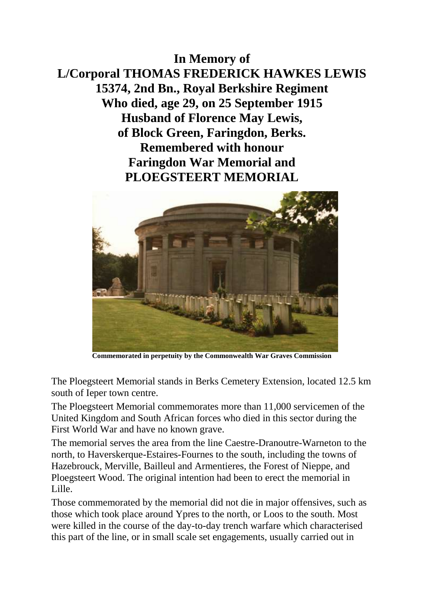**In Memory of L/Corporal THOMAS FREDERICK HAWKES LEWIS 15374, 2nd Bn., Royal Berkshire Regiment Who died, age 29, on 25 September 1915 Husband of Florence May Lewis, of Block Green, Faringdon, Berks. Remembered with honour Faringdon War Memorial and PLOEGSTEERT MEMORIAL**



**Commemorated in perpetuity by the Commonwealth War Graves Commission** 

The Ploegsteert Memorial stands in Berks Cemetery Extension, located 12.5 km south of Ieper town centre.

The Ploegsteert Memorial commemorates more than 11,000 servicemen of the United Kingdom and South African forces who died in this sector during the First World War and have no known grave.

The memorial serves the area from the line Caestre-Dranoutre-Warneton to the north, to Haverskerque-Estaires-Fournes to the south, including the towns of Hazebrouck, Merville, Bailleul and Armentieres, the Forest of Nieppe, and Ploegsteert Wood. The original intention had been to erect the memorial in Lille.

Those commemorated by the memorial did not die in major offensives, such as those which took place around Ypres to the north, or Loos to the south. Most were killed in the course of the day-to-day trench warfare which characterised this part of the line, or in small scale set engagements, usually carried out in